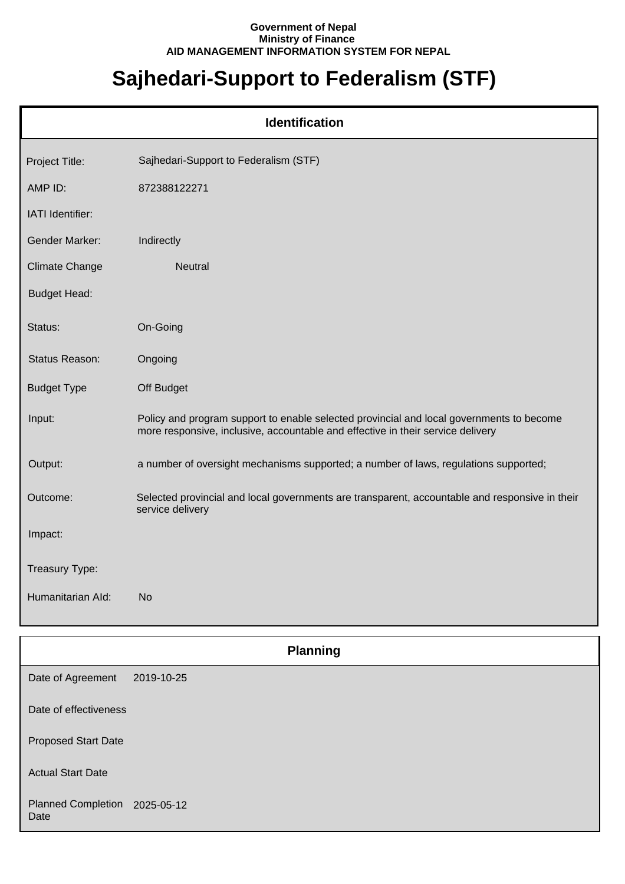## **Government of Nepal Ministry of Finance AID MANAGEMENT INFORMATION SYSTEM FOR NEPAL**

## **Sajhedari-Support to Federalism (STF)**

| <b>Identification</b> |                                                                                                                                                                             |  |
|-----------------------|-----------------------------------------------------------------------------------------------------------------------------------------------------------------------------|--|
| Project Title:        | Sajhedari-Support to Federalism (STF)                                                                                                                                       |  |
| AMP ID:               | 872388122271                                                                                                                                                                |  |
| IATI Identifier:      |                                                                                                                                                                             |  |
| <b>Gender Marker:</b> | Indirectly                                                                                                                                                                  |  |
| <b>Climate Change</b> | Neutral                                                                                                                                                                     |  |
| <b>Budget Head:</b>   |                                                                                                                                                                             |  |
| Status:               | On-Going                                                                                                                                                                    |  |
| Status Reason:        | Ongoing                                                                                                                                                                     |  |
| <b>Budget Type</b>    | Off Budget                                                                                                                                                                  |  |
| Input:                | Policy and program support to enable selected provincial and local governments to become<br>more responsive, inclusive, accountable and effective in their service delivery |  |
| Output:               | a number of oversight mechanisms supported; a number of laws, regulations supported;                                                                                        |  |
| Outcome:              | Selected provincial and local governments are transparent, accountable and responsive in their<br>service delivery                                                          |  |
| Impact:               |                                                                                                                                                                             |  |
| Treasury Type:        |                                                                                                                                                                             |  |
| Humanitarian Ald:     | <b>No</b>                                                                                                                                                                   |  |
|                       | <b>Planning</b>                                                                                                                                                             |  |

Date of Agreement Date of effectiveness Proposed Start Date 2019-10-25

Actual Start Date

Planned Completion 2025-05-12 Date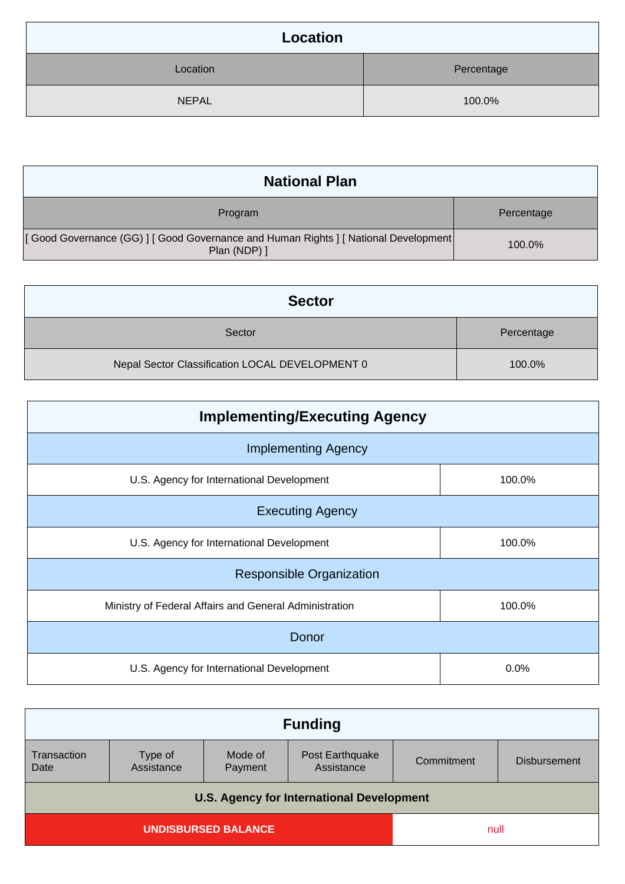| Location     |            |
|--------------|------------|
| Location     | Percentage |
| <b>NEPAL</b> | 100.0%     |

| <b>National Plan</b>                                                                               |            |
|----------------------------------------------------------------------------------------------------|------------|
| Program                                                                                            | Percentage |
| [Good Governance (GG)   [Good Governance and Human Rights   [National Development]<br>Plan (NDP) ] | 100.0%     |

| <b>Sector</b>                                   |            |
|-------------------------------------------------|------------|
| Sector                                          | Percentage |
| Nepal Sector Classification LOCAL DEVELOPMENT 0 | 100.0%     |

| <b>Implementing/Executing Agency</b>                   |        |  |
|--------------------------------------------------------|--------|--|
| <b>Implementing Agency</b>                             |        |  |
| U.S. Agency for International Development              | 100.0% |  |
| <b>Executing Agency</b>                                |        |  |
| U.S. Agency for International Development              | 100.0% |  |
| <b>Responsible Organization</b>                        |        |  |
| Ministry of Federal Affairs and General Administration | 100.0% |  |
| Donor                                                  |        |  |
| U.S. Agency for International Development              | 0.0%   |  |

| <b>Funding</b>                                   |                       |                    |                               |            |                     |
|--------------------------------------------------|-----------------------|--------------------|-------------------------------|------------|---------------------|
| Transaction<br>Date                              | Type of<br>Assistance | Mode of<br>Payment | Post Earthquake<br>Assistance | Commitment | <b>Disbursement</b> |
| <b>U.S. Agency for International Development</b> |                       |                    |                               |            |                     |
| <b>UNDISBURSED BALANCE</b>                       |                       |                    | null                          |            |                     |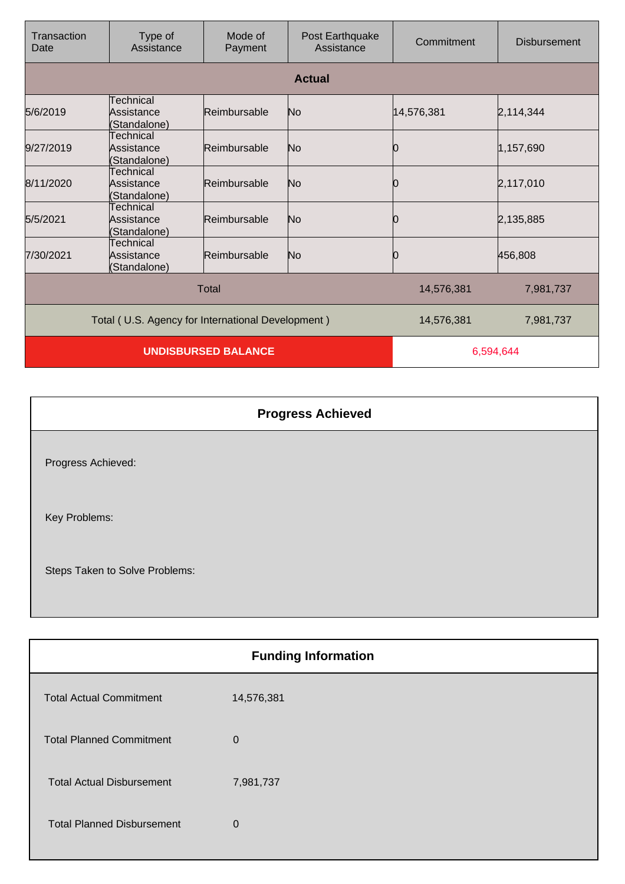| Transaction<br>Date                               | Type of<br>Assistance                   | Mode of<br>Payment | Post Earthquake<br>Assistance | Commitment | <b>Disbursement</b> |
|---------------------------------------------------|-----------------------------------------|--------------------|-------------------------------|------------|---------------------|
|                                                   |                                         |                    | <b>Actual</b>                 |            |                     |
| 5/6/2019                                          | Technical<br>Assistance<br>(Standalone) | Reimbursable       | No                            | 14,576,381 | 2,114,344           |
| 9/27/2019                                         | Technical<br>Assistance<br>(Standalone) | Reimbursable       | No                            | 10         | 1,157,690           |
| 8/11/2020                                         | Technical<br>Assistance<br>(Standalone) | Reimbursable       | No                            | 10         | 2,117,010           |
| 5/5/2021                                          | Technical<br>Assistance<br>(Standalone) | Reimbursable       | No                            | 0          | 2,135,885           |
| 7/30/2021                                         | Technical<br>Assistance<br>(Standalone) | Reimbursable       | No                            | 0          | 456,808             |
|                                                   |                                         | <b>Total</b>       |                               | 14,576,381 | 7,981,737           |
| Total (U.S. Agency for International Development) |                                         |                    | 14,576,381                    | 7,981,737  |                     |
| <b>UNDISBURSED BALANCE</b>                        |                                         |                    | 6,594,644                     |            |                     |

|                                | <b>Progress Achieved</b> |
|--------------------------------|--------------------------|
| Progress Achieved:             |                          |
| Key Problems:                  |                          |
| Steps Taken to Solve Problems: |                          |

| <b>Funding Information</b> |  |  |
|----------------------------|--|--|
| 14,576,381                 |  |  |
| 0                          |  |  |
| 7,981,737                  |  |  |
| 0                          |  |  |
|                            |  |  |